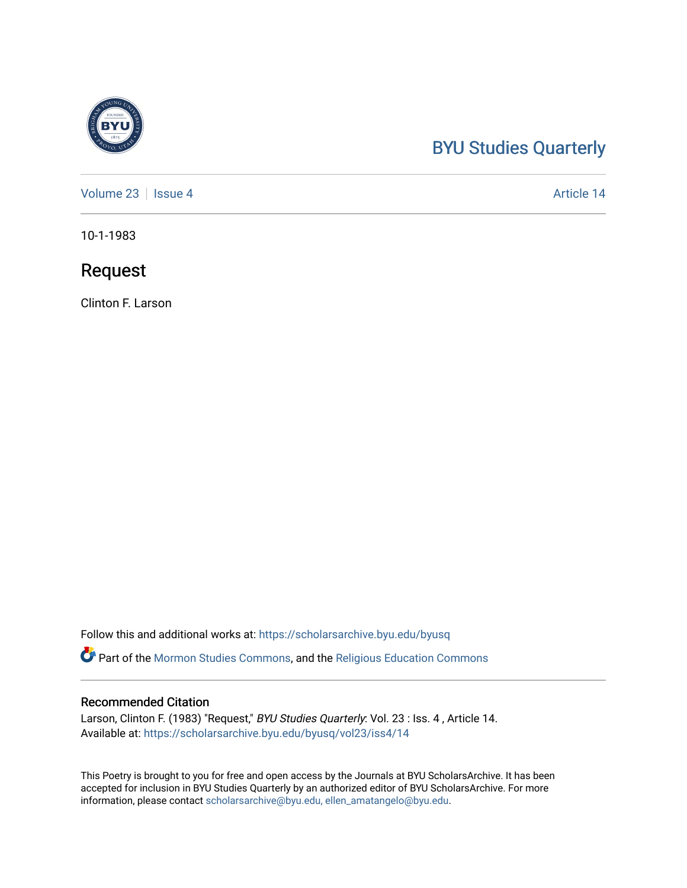## [BYU Studies Quarterly](https://scholarsarchive.byu.edu/byusq)

[Volume 23](https://scholarsarchive.byu.edu/byusq/vol23) | [Issue 4](https://scholarsarchive.byu.edu/byusq/vol23/iss4) Article 14

10-1-1983

### Request

Clinton F. Larson

Follow this and additional works at: [https://scholarsarchive.byu.edu/byusq](https://scholarsarchive.byu.edu/byusq?utm_source=scholarsarchive.byu.edu%2Fbyusq%2Fvol23%2Fiss4%2F14&utm_medium=PDF&utm_campaign=PDFCoverPages) 

Part of the [Mormon Studies Commons](http://network.bepress.com/hgg/discipline/1360?utm_source=scholarsarchive.byu.edu%2Fbyusq%2Fvol23%2Fiss4%2F14&utm_medium=PDF&utm_campaign=PDFCoverPages), and the [Religious Education Commons](http://network.bepress.com/hgg/discipline/1414?utm_source=scholarsarchive.byu.edu%2Fbyusq%2Fvol23%2Fiss4%2F14&utm_medium=PDF&utm_campaign=PDFCoverPages) 

#### Recommended Citation

Larson, Clinton F. (1983) "Request," BYU Studies Quarterly: Vol. 23 : Iss. 4, Article 14. Available at: [https://scholarsarchive.byu.edu/byusq/vol23/iss4/14](https://scholarsarchive.byu.edu/byusq/vol23/iss4/14?utm_source=scholarsarchive.byu.edu%2Fbyusq%2Fvol23%2Fiss4%2F14&utm_medium=PDF&utm_campaign=PDFCoverPages) 

This Poetry is brought to you for free and open access by the Journals at BYU ScholarsArchive. It has been accepted for inclusion in BYU Studies Quarterly by an authorized editor of BYU ScholarsArchive. For more information, please contact [scholarsarchive@byu.edu, ellen\\_amatangelo@byu.edu.](mailto:scholarsarchive@byu.edu,%20ellen_amatangelo@byu.edu)